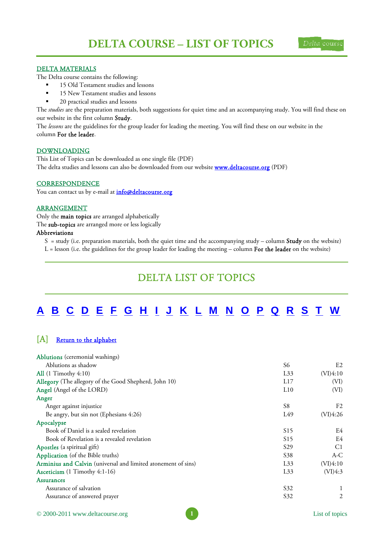

### <span id="page-0-0"></span>DELTA MATERIALS

The Delta course contains the following:

- 15 Old Testament studies and lessons
- **15 New Testament studies and lessons**
- 20 practical studies and lessons

The *studies* are the preparation materials, both suggestions for quiet time and an accompanying study. You will find these on our website in the first column Study.

The *lessons* are the guidelines for the group leader for leading the meeting. You will find these on our website in the column For the leader.

#### DOWNLOADING

This List of Topics can be downloaded as one single file (PDF) The delta studies and lessons can also be downloaded from our website **www.deltacourse.org** (PDF)

### **CORRESPONDENCE**

You can contact us by e-mail at *info@deltacourse.org* 

#### ARRANGEMENT

Only the main topics are arranged alphabetically

The sub-topics are arranged more or less logically

#### Abbreviations

 $S =$  study (i.e. preparation materials, both the quiet time and the accompanying study – column **Study** on the website)

L = lesson (i.e. the guidelines for the group leader for leading the meeting – column For the leader on the website)

## DELTA LIST OF TOPICS

# A [B](#page-1-0) [C](#page-2-0) [D](#page-3-0) [E F](#page-4-0) [G](#page-4-0) [H I](#page-5-0) [J](#page-6-0) [K](#page-6-0) [L M](#page-7-0) [N](#page-8-0) [O](#page-8-0) [P](#page-8-0) [Q](#page-9-0) [R](#page-9-0) [S](#page-10-0) [T W](#page-11-0)

## [A] Return to the alphabet

| <b>Ablutions</b> (ceremonial washings)                        |                 |                |
|---------------------------------------------------------------|-----------------|----------------|
| Ablutions as shadow                                           | S6              | E <sub>2</sub> |
| All $(1$ Timothy $4:10)$                                      | L33             | (VI)4:10       |
| Allegory (The allegory of the Good Shepherd, John 10)         | L17             | (VI)           |
| Angel (Angel of the LORD)                                     | L10             | (VI)           |
| Anger                                                         |                 |                |
| Anger against injustice                                       | S <sub>8</sub>  | F <sub>2</sub> |
| Be angry, but sin not (Ephesians 4:26)                        | L49             | (VI)4:26       |
| Apocalypse                                                    |                 |                |
| Book of Daniel is a sealed revelation                         | S <sub>15</sub> | E4             |
| Book of Revelation is a revealed revelation                   | S15             | E4             |
| Apostles (a spiritual gift)                                   | S <sub>29</sub> | C <sub>1</sub> |
| Application (of the Bible truths)                             | S <sub>38</sub> | $A-C$          |
| Arminius and Calvin (universal and limited atonement of sins) | L33             | (VI)4:10       |
| Asceticism (1 Timothy 4:1-16)                                 | L33             | (VI)4:3        |
| <b>Assurances</b>                                             |                 |                |
| Assurance of salvation                                        | S32             |                |
| Assurance of answered prayer                                  | S32             | 2              |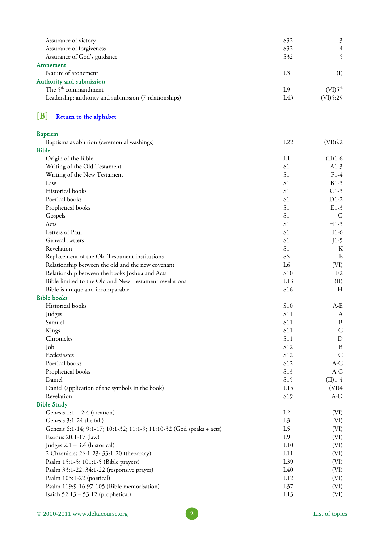<span id="page-1-0"></span>

| Assurance of victory                                   | S <sub>32</sub> | 3                   |
|--------------------------------------------------------|-----------------|---------------------|
| Assurance of forgiveness                               | S <sub>32</sub> | 4                   |
| Assurance of God's guidance                            | S <sub>32</sub> |                     |
| Atonement                                              |                 |                     |
| Nature of atonement                                    | L3              | (I)                 |
| Authority and submission                               |                 |                     |
| The 5 <sup>th</sup> commandment                        | L9              | (VI)5 <sup>th</sup> |
| Leadership: authority and submission (7 relationships) | L43             | (VI)5:29            |
|                                                        |                 |                     |

## [B] [Return to the alphabet](#page-0-0)

| <b>Baptism</b>                                                        |                 |                  |
|-----------------------------------------------------------------------|-----------------|------------------|
| Baptisms as ablution (ceremonial washings)                            | L22             | (VI)6:2          |
| <b>Bible</b>                                                          |                 |                  |
| Origin of the Bible                                                   | L1              | $(II)$ 1-6       |
| Writing of the Old Testament                                          | S <sub>1</sub>  | $A1-3$           |
| Writing of the New Testament                                          | S <sub>1</sub>  | $F1-4$           |
| Law                                                                   | S <sub>1</sub>  | $B1-3$           |
| Historical books                                                      | S <sub>1</sub>  | $C1-3$           |
| Poetical books                                                        | S <sub>1</sub>  | $D1-2$           |
| Prophetical books                                                     | S1              | $E1-3$           |
| Gospels                                                               | S <sub>1</sub>  | G                |
| Acts                                                                  | S1              | $H1-3$           |
| Letters of Paul                                                       | S <sub>1</sub>  | $I1-6$           |
| <b>General Letters</b>                                                | S <sub>1</sub>  | $J1-5$           |
| Revelation                                                            | S <sub>1</sub>  | К                |
| Replacement of the Old Testament institutions                         | S <sub>6</sub>  | E                |
| Relationship between the old and the new covenant                     | L6              | (VI)             |
| Relationship between the books Joshua and Acts                        | S10             | E <sub>2</sub>   |
| Bible limited to the Old and New Testament revelations                | L13             | (II)             |
| Bible is unique and incomparable                                      | S <sub>16</sub> | H                |
| <b>Bible books</b>                                                    |                 |                  |
| Historical books                                                      | S <sub>10</sub> | $A-E$            |
| Judges                                                                | S <sub>11</sub> | A                |
| Samuel                                                                | S11             | B                |
| Kings                                                                 | <b>S11</b>      | $\mathsf{C}$     |
| Chronicles                                                            | <b>S11</b>      | $\mathbf D$      |
| Job                                                                   | S <sub>12</sub> | $\boldsymbol{B}$ |
| Ecclesiastes                                                          | S <sub>12</sub> | $\mathsf{C}$     |
| Poetical books                                                        | S <sub>12</sub> | A-C              |
| Prophetical books                                                     | S13             | $A-C$            |
| Daniel                                                                | S15             | $(II)$ 1-4       |
| Daniel (application of the symbols in the book)                       | L15             | (VI)4            |
| Revelation                                                            | S <sub>19</sub> | A-D              |
| <b>Bible Study</b>                                                    |                 |                  |
| Genesis $1:1 - 2:4$ (creation)                                        | L2              | (VI)             |
| Genesis 3:1-24 the fall)                                              | L <sub>3</sub>  | VI)              |
| Genesis 6:1-14; 9:1-17; 10:1-32; 11:1-9; 11:10-32 (God speaks + acts) | L5              | (VI)             |
| Exodus 20:1-17 (law)                                                  | L9              | (VI)             |
| Judges $2:1 - 3:4$ (historical)                                       | L10             | (VI)             |
| 2 Chronicles 26:1-23; 33:1-20 (theocracy)                             | L11             | (VI)             |
| Psalm 15:1-5; 101:1-5 (Bible prayers)                                 | L39             | (VI)             |
| Psalm 33:1-22; 34:1-22 (responsive prayer)                            | L40             | (VI)             |
| Psalm 103:1-22 (poetical)                                             | L12             | (VI)             |
| Psalm 119:9-16,97-105 (Bible memorisation)                            | L37             | (VI)             |
| Isaiah $52:13 - 53:12$ (prophetical)                                  | L13             | (VI)             |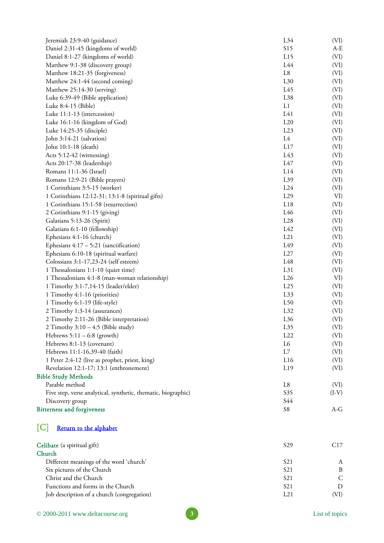<span id="page-2-0"></span>

| Jeremiah 23:9-40 (guidance)                                   | L34             | (VI)    |
|---------------------------------------------------------------|-----------------|---------|
| Daniel 2:31-45 (kingdoms of world)                            | S15             | $A-E$   |
| Daniel 8:1-27 (kingdoms of world)                             | L15             | (VI)    |
| Matthew 9:1-38 (discovery group)                              | L44             | (VI)    |
| Matthew 18:21-35 (forgiveness)                                | L8              | (VI)    |
| Matthew 24:1-44 (second coming)                               | L30             | (VI)    |
| Matthew 25:14-30 (serving)                                    | L45             | (VI)    |
| Luke 6:39-49 (Bible application)                              | L38             | (VI)    |
| Luke 8:4-15 (Bible)                                           | L1              | (VI)    |
| Luke 11:1-13 (intercession)                                   | L41             | (VI)    |
| Luke 16:1-16 (kingdom of God)                                 | L20             | (VI)    |
| Luke 14:25-35 (disciple)                                      | L23             | (VI)    |
| John 3:14-21 (salvation)                                      | L4              | (VI)    |
| John 10:1-18 (death)                                          | L17             | (VI)    |
| Acts 5:12-42 (witnessing)                                     | L43             | (VI)    |
| Acts 20:17-38 (leadership)                                    | L47             | (VI)    |
| Romans 11:1-36 (Israel)                                       | L14             | (VI)    |
| Romans 12:9-21 (Bible prayers)                                | L39             | (VI)    |
| 1 Corinthians 3:5-15 (worker)                                 | L24             | (VI)    |
| 1 Corinthians 12:12-31; 13:1-8 (spiritual gifts)              | L29             | VI)     |
| 1 Corinthians 15:1-58 (resurrection)                          | L18             | (VI)    |
| 2 Corinthians 9:1-15 (giving)                                 | L46             | (VI)    |
| Galatians 5:13-26 (Spirit)                                    | L28             | (VI)    |
| Galatians 6:1-10 (fellowship)                                 | L42             | (VI)    |
| Ephesians 4:1-16 (church)                                     | L21             | (VI)    |
| Ephesians $4:17 - 5:21$ (sanctification)                      | L <sub>49</sub> | (VI)    |
| Ephesians 6:10-18 (spiritual warfare)                         | L27             | (VI)    |
| Colossians 3:1-17,23-24 (self esteem)                         | L48             | (VI)    |
| 1 Thessalonians 1:1-10 (quiet time)                           | L31             | (VI)    |
| 1 Thessalonians 4:1-8 (man-woman relationship)                | L26             | VI)     |
| 1 Timothy 3:1-7,14-15 (leader/elder)                          | L25             | (VI)    |
| 1 Timothy 4:1-16 (priorities)                                 | L33             | (VI)    |
| 1 Timothy 6:1-19 (life-style)                                 | L50             | (VI)    |
| 2 Timothy 1:3-14 (assurances)                                 | L32             | (VI)    |
| 2 Timothy 2:11-26 (Bible interpretation)                      | L36             | (VI)    |
| 2 Timothy $3:10 - 4:5$ (Bible study)                          | L35             | (VI)    |
| Hebrews $5:11 - 6:8$ (growth)                                 | L22             | (VI)    |
| Hebrews 8:1-13 (covenant)                                     | L6              | (VI)    |
| Hebrews 11:1-16,39-40 (faith)                                 | L7              | (VI)    |
| 1 Peter 2:4-12 (live as prophet, priest, king)                | L16             | (VI)    |
| Revelation 12:1-17; 13:1 (enthronement)                       | L19             | (VI)    |
| <b>Bible Study Methods</b>                                    |                 |         |
| Parable method                                                | $\rm L8$        | (VI)    |
| Five step, verse analytical, synthetic, thematic, biographic) | S <sub>35</sub> | $(I-V)$ |
| Discovery group                                               | S44             |         |
| <b>Bitterness and forgiveness</b>                             | ${\cal S}8$     | A-G     |
|                                                               |                 |         |

## [C] [Return to the alphabet](#page-0-0)

| Celibate (a spiritual gift)                | S <sub>29</sub>  | C <sub>17</sub> |
|--------------------------------------------|------------------|-----------------|
| Church                                     |                  |                 |
| Different meanings of the word 'church'    | S <sub>2</sub> 1 | A               |
| Six pictures of the Church                 | S <sub>21</sub>  | B               |
| Christ and the Church                      | S <sub>2</sub> 1 | C.              |
| Functions and forms in the Church          | S <sub>21</sub>  |                 |
| Job description of a church (congregation) | 1.21             | (VI)            |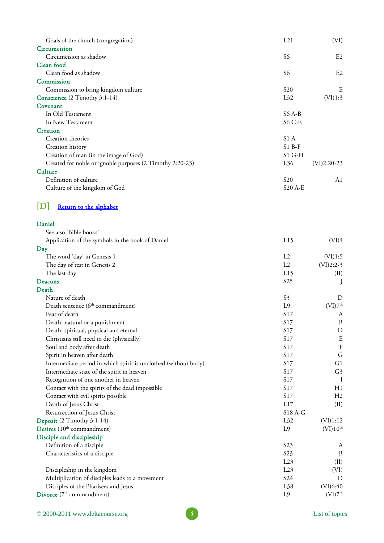<span id="page-3-0"></span>

| Goals of the church (congregation)                              | L21              | (VI)                 |
|-----------------------------------------------------------------|------------------|----------------------|
| Circumcision                                                    |                  |                      |
| Circumcision as shadow                                          | S6               | E <sub>2</sub>       |
| Clean food                                                      |                  |                      |
| Clean food as shadow                                            | S6               | E2                   |
| Commission                                                      |                  |                      |
| Commission to bring kingdom culture                             | S <sub>20</sub>  | Ε                    |
| Conscience (2 Timothy 3:1-14)                                   | L32              | (VI)1:3              |
| Covenant                                                        |                  |                      |
| In Old Testament                                                | $S6A-B$          |                      |
| In New Testament                                                | $S6C-E$          |                      |
| Creation                                                        |                  |                      |
| Creation theories                                               | S1 A             |                      |
| Creation history                                                | $S1B-F$          |                      |
| Creation of man (in the image of God)                           | $S1$ G-H         |                      |
| Created for noble or ignoble purposes (2 Timothy 2:20-23)       | L36              | $(VI)2:20-23$        |
| Culture                                                         |                  |                      |
| Definition of culture                                           | S <sub>20</sub>  | A1                   |
| Culture of the kingdom of God                                   | <b>S20 A-E</b>   |                      |
| [D]<br>Return to the alphabet                                   |                  |                      |
|                                                                 |                  |                      |
| Daniel                                                          |                  |                      |
| See also 'Bible books'                                          |                  |                      |
| Application of the symbols in the book of Daniel<br>Day         | L15              | (VI)4                |
| The word 'day' in Genesis 1                                     | L2               | (VI)1:5              |
| The day of rest in Genesis 2                                    | L2               | $(VI)2:2-3$          |
| The last day                                                    | L15              | (II)                 |
| Deacons                                                         | S <sub>25</sub>  |                      |
| Death                                                           |                  | J                    |
| Nature of death                                                 | S <sub>3</sub>   | D                    |
| Death sentence (6 <sup>th</sup> commandment)                    | L <sub>9</sub>   | (VI)7 <sup>th</sup>  |
| Fear of death                                                   | S17              |                      |
|                                                                 |                  | А                    |
| Death: natural or a punishment                                  | S17              | B                    |
| Death: spiritual, physical and eternal                          | S17              | D                    |
| Christians still need to die (physically)                       | S17              | ${\bf E}$            |
| Soul and body after death                                       | S17              | $\mathbf F$          |
| Spirit in heaven after death                                    | S17              | G                    |
| Intermediate period in which spirit is unclothed (without body) | S17              | G1                   |
| Intermediate state of the spirit in heaven                      | S17              | G <sub>3</sub>       |
| Recognition of one another in heaven                            | S17              | $\mathbf I$          |
| Contact with the spirits of the dead impossible                 | S17              | H1                   |
| Contact with evil spirits possible                              | S17              | H <sub>2</sub>       |
| Death of Jesus Christ                                           | L17              | (II)                 |
| Resurrection of Jesus Christ                                    | S18 A-G          |                      |
| Deposit (2 Timothy 3:1-14)                                      | L32              | (VI)1:12             |
| Desires (10 <sup>th</sup> commandment)                          | L9               | (VI)10 <sup>th</sup> |
| Disciple and discipleship                                       |                  |                      |
| Definition of a disciple                                        | S <sub>2</sub> 3 | A                    |
| Characteristics of a disciple                                   | S23              | $\boldsymbol{B}$     |
|                                                                 | L23              | (II)                 |
| Discipleship in the kingdom                                     | L23              | (VI)                 |
| Multiplication of disciples leads to a movement                 | S24              | D                    |
| Disciples of the Pharisees and Jesus                            | L38              | (VI)6:40             |
| Divorce (7 <sup>th</sup> commandment)                           | L9               | (VI)7 <sup>th</sup>  |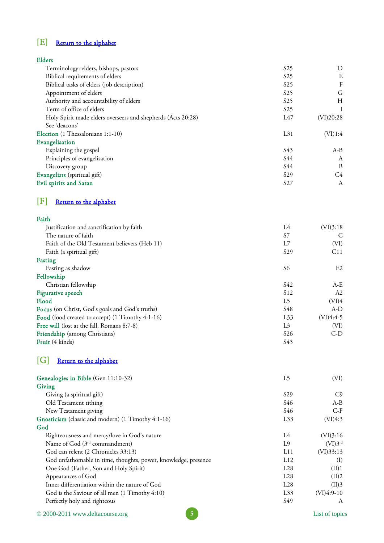# <span id="page-4-0"></span>[E] [Return to the alphabet](#page-0-0)

| <b>Elders</b>                                                |                 |           |
|--------------------------------------------------------------|-----------------|-----------|
| Terminology: elders, bishops, pastors                        | S <sub>25</sub> | D         |
| Biblical requirements of elders                              | S <sub>25</sub> | E         |
| Biblical tasks of elders (job description)                   | S <sub>25</sub> | F         |
| Appointment of elders                                        | S <sub>25</sub> | G         |
| Authority and accountability of elders                       | S <sub>25</sub> | H         |
| Term of office of elders                                     | S <sub>25</sub> |           |
| Holy Spirit made elders overseers and shepherds (Acts 20:28) | L47             | (VI)20:28 |
| See 'deacons'                                                |                 |           |
| Election (1 Thessalonians 1:1-10)                            | L31             | (VI)1:4   |
| Evangelisation                                               |                 |           |
| Explaining the gospel                                        | S43             | $A-B$     |
| Principles of evangelisation                                 | S44             | A         |
| Discovery group                                              | S44             | B         |
| Evangelists (spiritual gift)                                 | S <sub>29</sub> | C4        |
| Evil spirits and Satan                                       | S27             | A         |

# [F] [Return to the alphabet](#page-0-0)

## Faith

| Justification and sanctification by faith        | L4              | (VI)3:18       |
|--------------------------------------------------|-----------------|----------------|
| The nature of faith                              | S7              | C              |
| Faith of the Old Testament believers (Heb 11)    | L7              | (VI)           |
| Faith (a spiritual gift)                         | S <sub>29</sub> | C11            |
| Fasting                                          |                 |                |
| Fasting as shadow                                | S6              | E <sub>2</sub> |
| Fellowship                                       |                 |                |
| Christian fellowship                             | S42             | A-E            |
| Figurative speech                                | S <sub>12</sub> | A <sub>2</sub> |
| Flood                                            | L5              | (VI)4          |
| Focus (on Christ, God's goals and God's truths)  | S48             | $A-D$          |
| Food (food created to accept) (1 Timothy 4:1-16) | L33             | (VI)4:4-5      |
| Free will (lost at the fall, Romans 8:7-8)       | L <sub>3</sub>  | (VI)           |
| Friendship (among Christians)                    | S <sub>26</sub> | $C-D$          |
| Fruit (4 kinds)                                  | S43             |                |

# [G] [Return to the alphabet](#page-0-0)

| Genealogies in Bible (Gen 11:10-32)                            | L <sub>5</sub>  | (VI)         |
|----------------------------------------------------------------|-----------------|--------------|
| Giving                                                         |                 |              |
| Giving (a spiritual gift)                                      | S <sub>29</sub> | C9           |
| Old Testament tithing                                          | S46             | $A-B$        |
| New Testament giving                                           | S46             | $C-F$        |
| Gnosticism (classic and modern) (1 Timothy 4:1-16)             | L33             | (VI)4:3      |
| God                                                            |                 |              |
| Righteousness and mercy/love in God's nature                   | IA              | (VI)3:16     |
| Name of God (3 <sup>rd</sup> commandment)                      | L9              | $(VI)3^{rd}$ |
| God can relent (2 Chronicles 33:13)                            | L11             | (VI)33:13    |
| God unfathomable in time, thoughts, power, knowledge, presence | L12             | $\rm (I)$    |
| One God (Father, Son and Holy Spirit)                          | L28             | (II)1        |
| Appearances of God                                             | L28             | (II)2        |
| Inner differentiation within the nature of God                 | L28             | (II)3        |
| God is the Saviour of all men (1 Timothy 4:10)                 | L33             | $(VI)4:9-10$ |
| Perfectly holy and righteous                                   | S49             | A            |

© 2000-2011 www.deltacourse.org List of topics **5**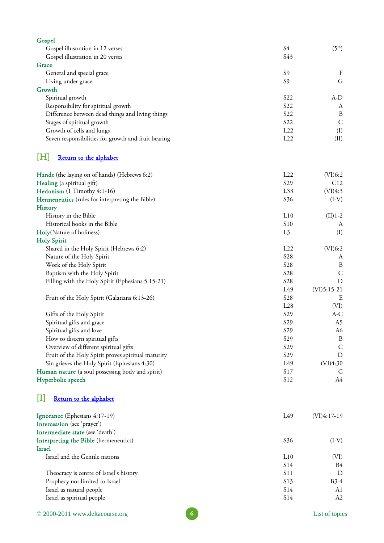<span id="page-5-0"></span>

| Gospel                                              |                 |                    |
|-----------------------------------------------------|-----------------|--------------------|
| Gospel illustration in 12 verses                    | S4              | (5 <sup>th</sup> ) |
| Gospel illustration in 20 verses                    | S43             |                    |
| Grace                                               |                 |                    |
| General and special grace                           | S <sub>9</sub>  | $\boldsymbol{F}$   |
| Living under grace                                  | S <sub>9</sub>  | G                  |
| Growth                                              |                 |                    |
| Spiritual growth                                    | S <sub>22</sub> | A-D                |
| Responsibility for spiritual growth                 | S22             | A                  |
| Difference between dead things and living things    | S22             | B                  |
| Stages of spiritual growth                          | S22             | $\mathsf{C}$       |
| Growth of cells and lungs                           | L22             | (I)                |
| Seven responsibilities for growth and fruit bearing | L22             | (II)               |
| IHI<br>Return to the alphabet                       |                 |                    |
| Hands (the laying on of hands) (Hebrews 6:2)        | L22             | (VI)6:2            |
| Healing (a spiritual gift)                          | S29             | C12                |
| Hedonism (1 Timothy 4:1-16)                         | L33             | (VI)4:3            |
| Hermeneutics (rules for interpreting the Bible)     | S36             | $(I-V)$            |
| <b>History</b>                                      |                 |                    |
| History in the Bible                                | L10             | $(II)$ 1-2         |
| Historical books in the Bible                       | S <sub>10</sub> | A                  |
| Holy(Nature of holiness)                            | L <sub>3</sub>  | (I)                |
| <b>Holy Spirit</b>                                  |                 |                    |
| Shared in the Holy Spirit (Hebrews 6:2)             | L22             | (VI)6:2            |
| Nature of the Holy Spirit                           | S <sub>28</sub> | A                  |
| Work of the Holy Spirit                             | S28             | $\boldsymbol{B}$   |
| Baptism with the Holy Spirit                        | S28             | $\mathsf{C}$       |
| Filling with the Holy Spirit (Ephesians 5:15-21)    | S <sub>28</sub> | D                  |
|                                                     | L49             | $(VI)5:15-21$      |
| Fruit of the Holy Spirit (Galatians 6:13-26)        | S <sub>28</sub> | E                  |
|                                                     | L28             | (VI)               |
| Gifts of the Holy Spirit                            | S <sub>29</sub> | A-C                |
| Spiritual gifts and grace                           | S29             | A5                 |
| Spiritual gifts and love                            | S <sub>29</sub> | A6                 |
| How to discern spiritual gifts                      | S <sub>29</sub> | $\boldsymbol{B}$   |
| Overview of different spiritual gifts               | S <sub>29</sub> | $\mathsf{C}$       |
| Fruit of the Holy Spirit proves spiritual maturity  | S <sub>29</sub> | D                  |
| Sin grieves the Holy Spirit (Ephesians 4:30)        | L49             | (VI)4:30           |
| Human nature (a soul possessing body and spirit)    | S17             | Ċ                  |
| Hyperbolic speech                                   | S12             | A4                 |
| Ш<br>Return to the alphabet                         |                 |                    |
| Ignorance (Ephesians 4:17-19)                       | L49             | $(VI)4:17-19$      |
| Intercession (see 'prayer')                         |                 |                    |
| Intermediate state (see 'death')                    |                 |                    |
| Interpreting the Bible (hermeneutics)               | S36             | $(I-V)$            |
| Israel                                              |                 |                    |

Israel and the Gentile nations L10 (VI)<br>S14 B4

Theocracy is centre of Israel's history D S11 D Prophecy not limited to Israel S13 B3-4 Israel as natural people A1 Israel as spiritual people and a spiritual people states of the S14 and S14 and S14 and S14 and S14 and S14 and S14 and S14 and S14 and S14 and S14 and S14 and S14 and S14 and S14 and S14 and S14 and S14 and S14 and S14 an

S14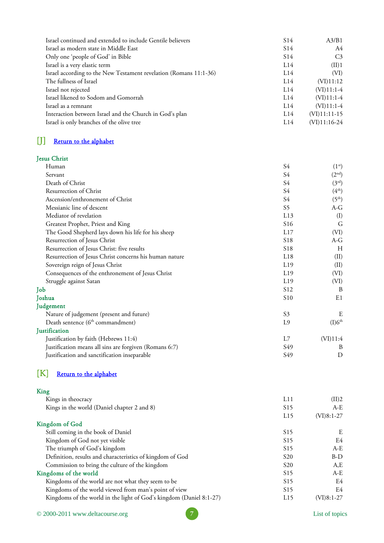<span id="page-6-0"></span>

| Israel continued and extended to include Gentile believers        | S <sub>14</sub> | A3/B1          |
|-------------------------------------------------------------------|-----------------|----------------|
| Israel as modern state in Middle East                             | S <sub>14</sub> | A4             |
| Only one 'people of God' in Bible                                 | S <sub>14</sub> | C <sub>3</sub> |
| Israel is a very elastic term                                     | L14             | (II)1          |
| Israel according to the New Testament revelation (Romans 11:1-36) | L14             | (VI)           |
| The fullness of Israel                                            | L14             | (VI)11:12      |
| Israel not rejected                                               | L14             | $(VI)11:1-4$   |
| Israel likened to Sodom and Gomorrah                              | 1.14            | $(VI)11:1-4$   |
| Israel as a remnant                                               | 1.14            | $(VI)11:1-4$   |
| Interaction between Israel and the Church in God's plan           | L14             | $(VI)11:11-15$ |
| Israel is only branches of the olive tree                         | 1.14            | $(VI)11:16-24$ |

## [J] Return to the alphabet

## Jesus Christ

| Human                                                  | S4              | (1 <sup>st</sup> ) |
|--------------------------------------------------------|-----------------|--------------------|
| Servant                                                | S4              | (2 <sup>nd</sup> ) |
| Death of Christ                                        | S4              | $(3^{\rm rd})$     |
| Resurrection of Christ                                 | S4              | $(4^{\text{th}})$  |
| Ascension/enthronement of Christ                       | S4              | (5 <sup>th</sup> ) |
| Messianic line of descent                              | S5              | A-G                |
| Mediator of revelation                                 | L13             | (I)                |
| Greatest Prophet, Priest and King                      | S <sub>16</sub> | G                  |
| The Good Shepherd lays down his life for his sheep     | L17             | (VI)               |
| Resurrection of Jesus Christ                           | S <sub>18</sub> | A-G                |
| Resurrection of Jesus Christ: five results             | S <sub>18</sub> | H                  |
| Resurrection of Jesus Christ concerns his human nature | L18             | (II)               |
| Sovereign reign of Jesus Christ                        | L19             | (II)               |
| Consequences of the enthronement of Jesus Christ       | L19             | (VI)               |
| Struggle against Satan                                 | L19             | (VI)               |
| Job                                                    | S <sub>12</sub> | B                  |
| Joshua                                                 | S <sub>10</sub> | E1                 |
| Judgement                                              |                 |                    |
| Nature of judgement (present and future)               | S <sub>3</sub>  | E                  |
| Death sentence (6 <sup>th</sup> commandment)           | L9              | (I)6 <sup>th</sup> |
| Justification                                          |                 |                    |
| Justification by faith (Hebrews 11:4)                  | L7              | (VI)11:4           |
| Justification means all sins are forgiven (Romans 6:7) | S49             | B                  |
| Justification and sanctification inseparable           | S49             | D                  |
|                                                        |                 |                    |

## [K] [Return to the alphabet](#page-0-0)

#### King

| Kings in theocracy                                                  | L11             | (II)2        |
|---------------------------------------------------------------------|-----------------|--------------|
| Kings in the world (Daniel chapter 2 and 8)                         | S15             | A-E          |
|                                                                     | L15             | $(VI)8:1-27$ |
| Kingdom of God                                                      |                 |              |
| Still coming in the book of Daniel                                  | S <sub>15</sub> | E            |
| Kingdom of God not yet visible                                      | S <sub>15</sub> | E4           |
| The triumph of God's kingdom                                        | S <sub>15</sub> | A-E          |
| Definition, results and characteristics of kingdom of God           | S <sub>20</sub> | $B-D$        |
| Commission to bring the culture of the kingdom                      | S <sub>20</sub> | A,E          |
| Kingdoms of the world                                               | S <sub>15</sub> | $A-E$        |
| Kingdoms of the world are not what they seem to be                  | S <sub>15</sub> | E4           |
| Kingdoms of the world viewed from man's point of view               | S <sub>15</sub> | E4           |
| Kingdoms of the world in the light of God's kingdom (Daniel 8:1-27) | L15             | $(VI)8:1-27$ |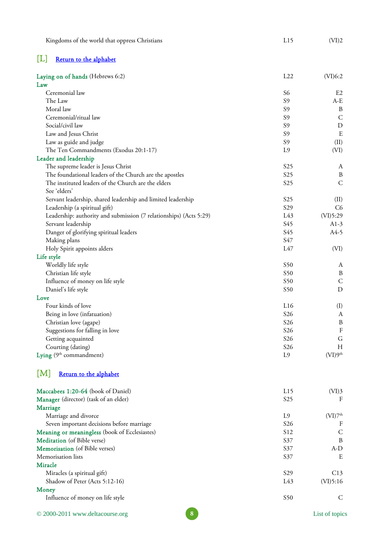| Ш<br>Return to the alphabet                                        |                      |                         |
|--------------------------------------------------------------------|----------------------|-------------------------|
| Laying on of hands (Hebrews 6:2)                                   | L22                  | (VI)6:2                 |
| Law                                                                |                      |                         |
| Ceremonial law<br>The Law                                          | S6<br>S <sub>9</sub> | E <sub>2</sub><br>$A-E$ |
| Moral law                                                          | S <sub>9</sub>       | B                       |
| Ceremonial/ritual law                                              | S <sub>9</sub>       | $\mathsf{C}$            |
| Social/civil law                                                   | S <sub>9</sub>       | $\mathbf D$             |
| Law and Jesus Christ                                               | S <sub>9</sub>       | E                       |
| Law as guide and judge                                             | S <sub>9</sub>       | (II)                    |
| The Ten Commandments (Exodus 20:1-17)                              | L <sub>9</sub>       | (VI)                    |
| Leader and leadership                                              |                      |                         |
| The supreme leader is Jesus Christ                                 | S <sub>25</sub>      | A                       |
| The foundational leaders of the Church are the apostles            | S <sub>25</sub>      | $\, {\bf B}$            |
| The instituted leaders of the Church are the elders                | S <sub>25</sub>      | $\mathsf{C}$            |
| See 'elders'                                                       |                      |                         |
| Servant leadership, shared leadership and limited leadership       | S <sub>25</sub>      | (II)                    |
| Leadership (a spiritual gift)                                      | S29                  | C <sub>6</sub>          |
| Leadership: authority and submission (7 relationships) (Acts 5:29) | L43                  | (VI)5:29                |
| Servant leadership                                                 | S45                  | $A1-3$                  |
| Danger of glorifying spiritual leaders                             | S45                  | $A4-5$                  |
| Making plans                                                       | S47                  |                         |
| Holy Spirit appoints alders                                        | L47                  | (VI)                    |
| Life style                                                         |                      |                         |
| Worldly life style                                                 | S50                  | A                       |
| Christian life style                                               | S50                  | B                       |
| Influence of money on life style                                   | S50                  | $\mathsf C$             |
| Daniel's life style                                                | S50                  | D                       |
| Love                                                               |                      |                         |
| Four kinds of love                                                 | L16                  | (I)                     |
| Being in love (infatuation)                                        | S <sub>26</sub>      | A                       |
| Christian love (agape)                                             | S <sub>26</sub>      | B                       |
| Suggestions for falling in love                                    | <b>S26</b>           | $\rm F$                 |
| Getting acquainted                                                 | <b>S26</b>           | $\mathsf G$             |
| Courting (dating)                                                  | S <sub>26</sub>      | H                       |
| Lying (9 <sup>th</sup> commandment)                                | L <sub>9</sub>       | (VI)9 <sup>th</sup>     |
| M <br>Return to the alphabet                                       |                      |                         |
| Maccabees 1:20-64 (book of Daniel)                                 | L15                  | (VI)3                   |
| Manager (director) (task of an elder)                              | S <sub>25</sub>      | F                       |
| Marriage                                                           |                      |                         |
| Marriage and divorce                                               | L <sub>9</sub>       | (VI)7 <sup>th</sup>     |
| Seven important decisions before marriage                          | S <sub>26</sub>      | $\boldsymbol{F}$        |
| Meaning or meaningless (book of Ecclesiastes)                      | S12                  | $\mathsf{C}$            |
| Meditation (of Bible verse)                                        | S37                  | $\boldsymbol{B}$        |
| Memorisation (of Bible verses)                                     | S37                  | $A-D$                   |
| Memorisation lists                                                 | S37                  | E                       |
| Miracle                                                            |                      |                         |
| Miracles (a spiritual gift)                                        | S <sub>29</sub>      | C13                     |
| Shadow of Peter (Acts 5:12-16)                                     | L43                  | (VI)5:16                |
| Money                                                              |                      |                         |
| Influence of money on life style                                   | S <sub>50</sub>      | C                       |

<span id="page-7-0"></span>Kingdoms of the world that oppress Christians L15 (VI)2

© 2000-2011 www.deltacourse.org List of topics **8**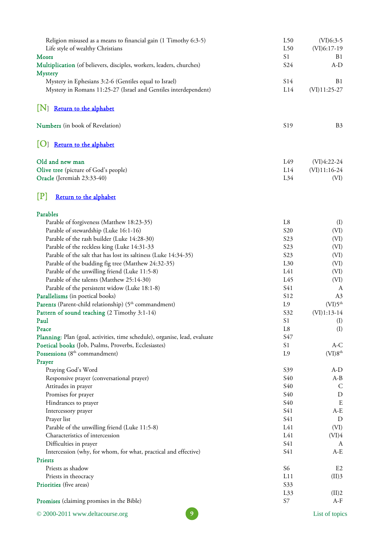<span id="page-8-0"></span>

| Religion misused as a means to financial gain (1 Timothy 6:3-5)<br>Life style of wealthy Christians | L50<br>L50      | $(VI)6:3-5$<br>$(VI)6:17-19$ |
|-----------------------------------------------------------------------------------------------------|-----------------|------------------------------|
| Moses<br>Multiplication (of believers, disciples, workers, leaders, churches)                       | S1<br>S24       | B <sub>1</sub><br>$A-D$      |
| <b>Mystery</b>                                                                                      |                 |                              |
| Mystery in Ephesians 3:2-6 (Gentiles equal to Israel)                                               | S14             | B <sub>1</sub>               |
| Mystery in Romans 11:25-27 (Israel and Gentiles interdependent)                                     | L14             | $(VI)11:25-27$               |
| $[N]$ Return to the alphabet                                                                        |                 |                              |
| <b>Numbers</b> (in book of Revelation)                                                              | S <sub>19</sub> | B <sub>3</sub>               |
| O <br>Return to the alphabet                                                                        |                 |                              |
| Old and new man                                                                                     | L49             | $(VI)4:22-24$                |
| Olive tree (picture of God's people)                                                                | L14             | $(VI)11:16-24$               |
| Oracle (Jeremiah 23:33-40)                                                                          | L34             | (VI)                         |
| $[{\bf P}]$<br>Return to the alphabet                                                               |                 |                              |
| Parables                                                                                            |                 |                              |
| Parable of forgiveness (Matthew 18:23-35)                                                           | L <sub>8</sub>  | (I)                          |
| Parable of stewardship (Luke 16:1-16)                                                               | S <sub>20</sub> | (VI)                         |
| Parable of the rash builder (Luke 14:28-30)                                                         | S23             | (VI)                         |
| Parable of the reckless king (Luke 14:31-33                                                         | S23             | (VI)                         |
| Parable of the salt that has lost its saltiness (Luke 14:34-35)                                     | S23             | (VI)                         |
| Parable of the budding fig tree (Matthew 24:32-35)                                                  | L30             | (VI)                         |
| Parable of the unwilling friend (Luke 11:5-8)                                                       | L41             | (VI)                         |
| Parable of the talents (Matthew 25:14-30)                                                           | L45             | (VI)                         |
| Parable of the persistent widow (Luke 18:1-8)                                                       | S41             | A                            |
| Parallelisms (in poetical books)                                                                    | S12             | A3                           |
| Parents (Parent-child relationship) (5 <sup>th</sup> commandment)                                   | L9              | (VI)5 <sup>th</sup>          |
| Pattern of sound teaching (2 Timothy 3:1-14)                                                        | S32             | $(VI)1:13-14$                |
| Paul                                                                                                | S1              | (I)                          |
| Peace                                                                                               | L8              | (I)                          |
| Planning: Plan (goal, activities, time schedule), organise, lead, evaluate                          | S47             |                              |
| Poetical books (Job, Psalms, Proverbs, Ecclesiastes)                                                | S1              | $A-C$                        |
| Possessions (8 <sup>th</sup> commandment)                                                           | L <sub>9</sub>  | (VI)8 <sup>th</sup>          |
| Prayer                                                                                              |                 |                              |
| Praying God's Word                                                                                  | S39             | $A-D$                        |
| Responsive prayer (conversational prayer)                                                           | S40             | $A-B$                        |
| Attitudes in prayer                                                                                 | S40             | $\mathsf{C}$                 |
| Promises for prayer                                                                                 | S40             | $\mathbf D$                  |
| Hindrances to prayer                                                                                | S40             | E                            |
| Intercessory prayer                                                                                 | S41             | $A-E$                        |
| Prayer list                                                                                         | S41             | D                            |
| Parable of the unwilling friend (Luke 11:5-8)                                                       | L41<br>L41      | (VI)                         |
| Characteristics of intercession                                                                     | S41             | (VI)4                        |
| Difficulties in prayer                                                                              | S41             | A<br>$A-E$                   |
| Intercession (why, for whom, for what, practical and effective)<br>Priests                          |                 |                              |
| Priests as shadow                                                                                   | S <sub>6</sub>  | E2                           |
| Priests in theocracy                                                                                | L11             | (II)3                        |
| Priorities (five areas)                                                                             | S33             |                              |
|                                                                                                     | L33             | (II)2                        |
| Promises (claiming promises in the Bible)                                                           | $S7\,$          | $A-F$                        |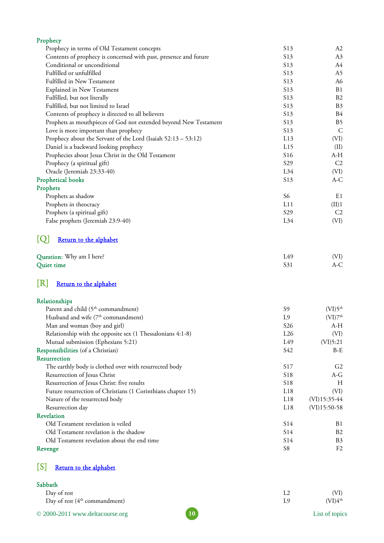<span id="page-9-0"></span>

| Prophecy                                                         |                 |                     |
|------------------------------------------------------------------|-----------------|---------------------|
| Prophecy in terms of Old Testament concepts                      | S13             | A <sub>2</sub>      |
| Contents of prophecy is concerned with past, presence and future | S13             | A3                  |
| Conditional or unconditional                                     | S13             | A4                  |
| Fulfilled or unfulfilled                                         | S13             | A5                  |
| Fulfilled in New Testament                                       | S <sub>13</sub> | A6                  |
| <b>Explained in New Testament</b>                                | S13             | B1                  |
| Fulfilled, but not literally                                     | S13             | B <sub>2</sub>      |
| Fulfilled, but not limited to Israel                             | S13             | B <sub>3</sub>      |
| Contents of prophecy is directed to all believers                | S <sub>13</sub> | B4                  |
| Prophets as mouthpieces of God not extended beyond New Testament | S13             | B <sub>5</sub>      |
| Love is more important than prophecy                             | S13             | $\mathsf{C}$        |
| Prophecy about the Servant of the Lord (Isaiah 52:13 - 53:12)    | L13             | (VI)                |
| Daniel is a backward looking prophecy                            | L15             | (II)                |
| Prophecies about Jesus Christ in the Old Testament               | S <sub>16</sub> | A-H                 |
| Prophecy (a spiritual gift)                                      | S29             | C2                  |
| Oracle (Jeremiah 23:33-40)                                       | $L_{34}$        | (VI)                |
| Prophetical books                                                | S <sub>13</sub> | A-C                 |
| Prophets                                                         |                 |                     |
| Prophets as shadow                                               | S6              | E1                  |
| Prophets in theocracy                                            | L11             | (II)1               |
| Prophets (a spiritual gift)                                      | S29             | C <sub>2</sub>      |
| False prophets (Jeremiah 23:9-40)                                | L34             | (VI)                |
| [Q]<br>Return to the alphabet                                    |                 |                     |
| Question: Why am I here?                                         | L49             | (VI)                |
| Quiet time                                                       | S31             | $A-C$               |
| [R]<br>Return to the alphabet                                    |                 |                     |
| Relationships                                                    |                 |                     |
| Parent and child (5 <sup>th</sup> commandment)                   | S <sub>9</sub>  | (VI)5 <sup>th</sup> |
| Husband and wife (7 <sup>th</sup> commandment)                   | L <sub>9</sub>  | (VI)7 <sup>th</sup> |
| Man and woman (boy and girl)                                     | <b>S26</b>      | A-H                 |
| Relationship with the opposite sex (1 Thessalonians 4:1-8)       | L26             | (VI)                |
| Mutual submission (Ephesians 5:21)                               | L49             | (VI)5:21            |
| Responsibilities (of a Christian)                                | S42             | $B-E$               |
| Resurrection                                                     |                 |                     |
| The earthly body is clothed over with resurrected body           | <b>S17</b>      | G <sub>2</sub>      |
| Resurrection of Jesus Christ                                     | S18             | A-G                 |
| Resurrection of Jesus Christ: five results                       | <b>S18</b>      | H                   |
| Future resurrection of Christians (1 Corinthians chapter 15)     | L18             | (VI)                |
| Nature of the resurrected body                                   | L18             | $(VI)$ 15:35-44     |
| Resurrection day                                                 | L18             | $(VI)$ 15:50-58     |
|                                                                  |                 |                     |

| <b>Revelation</b>                           |                 |                |
|---------------------------------------------|-----------------|----------------|
| Old Testament revelation is veiled          | S <sub>14</sub> | B1             |
| Old Testament revelation is the shadow      | S <sub>14</sub> | B2             |
| Old Testament revelation about the end time | S <sub>14</sub> | B <sub>3</sub> |
| Revenge                                     | S8              | E2             |

# [S] [Return to the alphabet](#page-0-0)

| Sabbath                               |    |     |                     |
|---------------------------------------|----|-----|---------------------|
| Day of rest                           |    | 1.2 | (VI)                |
| Day of rest $(4th$ commandment)       |    | 1 Q | (VI)4 <sup>th</sup> |
| $\odot$ 2000-2011 www.deltacourse.org | 10 |     | List of topics      |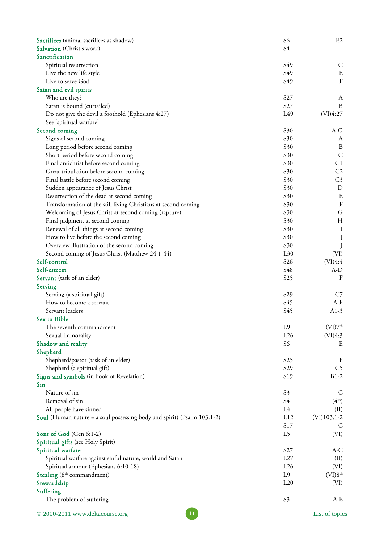<span id="page-10-0"></span>

| Sacrifices (animal sacrifices as shadow)                                | S <sub>6</sub>  | E2                  |
|-------------------------------------------------------------------------|-----------------|---------------------|
| Salvation (Christ's work)                                               | S4              |                     |
| Sanctification                                                          |                 |                     |
| Spiritual resurrection                                                  | S49             | C                   |
| Live the new life style                                                 | S49             | E                   |
| Live to serve God                                                       | S49             | $\rm F$             |
| Satan and evil spirits                                                  |                 |                     |
| Who are they?                                                           | S <sub>27</sub> | A                   |
| Satan is bound (curtailed)                                              | S27             | B                   |
| Do not give the devil a foothold (Ephesians 4:27)                       | L49             | (VI)4:27            |
| See 'spiritual warfare'                                                 |                 |                     |
| Second coming                                                           | S30             | A-G                 |
| Signs of second coming                                                  | S30             | A                   |
| Long period before second coming                                        | S30             | B                   |
| Short period before second coming                                       | S30             | C                   |
| Final antichrist before second coming                                   | S30             | C1                  |
| Great tribulation before second coming                                  | S30             | C <sub>2</sub>      |
| Final battle before second coming                                       | S30             | C <sub>3</sub>      |
| Sudden appearance of Jesus Christ                                       | S30             | D                   |
| Resurrection of the dead at second coming                               | S30             | Ε                   |
| Transformation of the still living Christians at second coming          | S30             | F                   |
| Welcoming of Jesus Christ at second coming (rapture)                    | S30             | G                   |
| Final judgment at second coming                                         | S30             | H                   |
| Renewal of all things at second coming                                  | S30             | Ι                   |
| How to live before the second coming                                    | S30             |                     |
| Overview illustration of the second coming                              | S30             |                     |
| Second coming of Jesus Christ (Matthew 24:1-44)                         | $L_{30}$        | (VI)                |
| Self-control                                                            | S <sub>26</sub> | (VI)4:4             |
| Self-esteem                                                             | S48             | $A-D$               |
| Servant (task of an elder)                                              | S <sub>25</sub> | F                   |
| Serving                                                                 |                 |                     |
| Serving (a spiritual gift)                                              | S <sub>29</sub> | C7                  |
| How to become a servant                                                 | S45             | $A-F$               |
| Servant leaders                                                         | S45             | $A1-3$              |
| Sex in Bible                                                            |                 |                     |
| The seventh commandment                                                 | L9              | (VI)7 <sup>th</sup> |
| Sexual immorality                                                       | L26             | (VI)4:3             |
| Shadow and reality                                                      | S <sub>6</sub>  | Ε                   |
| Shepherd                                                                |                 |                     |
| Shepherd/pastor (task of an elder)                                      | S <sub>25</sub> | F                   |
| Shepherd (a spiritual gift)                                             | S <sub>29</sub> | C5                  |
| Signs and symbols (in book of Revelation)                               | S19             | $B1-2$              |
| Sin                                                                     |                 |                     |
| Nature of sin                                                           | S <sub>3</sub>  | C                   |
| Removal of sin                                                          | S4              | (4 <sup>th</sup> )  |
| All people have sinned                                                  | L4              | (II)                |
| Soul (Human nature = a soul possessing body and spirit) (Psalm 103:1-2) | L12             | $(VI)103:1-2$       |
|                                                                         | S17             | C                   |
| Sons of God (Gen 6:1-2)                                                 | L <sub>5</sub>  | (VI)                |
| Spiritual gifts (see Holy Spirit)                                       |                 |                     |
| Spiritual warfare                                                       | S27             | A-C                 |
| Spiritual warfare against sinful nature, world and Satan                | L27             | (II)                |
| Spiritual armour (Ephesians 6:10-18)                                    | L26             | (VI)                |
| Stealing (8th commandment)                                              | L9              | (VI)8 <sup>th</sup> |
| Stewardship                                                             | L20             | (VI)                |
| Suffering                                                               |                 |                     |
| The problem of suffering                                                | S <sub>3</sub>  | A-E                 |
| 11<br>© 2000-2011 www.deltacourse.org                                   |                 | List of topics      |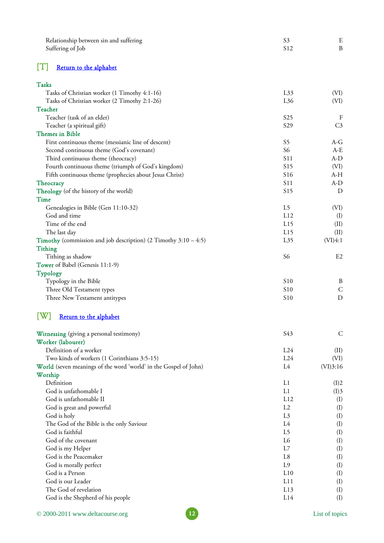<span id="page-11-0"></span>

| Relationship between sin and suffering                              | S <sub>3</sub>  | E                |
|---------------------------------------------------------------------|-----------------|------------------|
| Suffering of Job                                                    | S12             | $\, {\bf B}$     |
| IТI<br>Return to the alphabet                                       |                 |                  |
| <b>Tasks</b>                                                        |                 |                  |
| Tasks of Christian worker (1 Timothy 4:1-16)                        | L33             | (VI)             |
| Tasks of Christian worker (2 Timothy 2:1-26)                        | L36             | (VI)             |
| Teacher                                                             |                 |                  |
| Teacher (task of an elder)                                          | S <sub>25</sub> | $\boldsymbol{F}$ |
| Teacher (a spiritual gift)                                          | S29             | C <sub>3</sub>   |
| <b>Themes in Bible</b>                                              |                 |                  |
| First continuous theme (messianic line of descent)                  | S5              | A-G              |
| Second continuous theme (God's covenant)                            | S <sub>6</sub>  | $A-E$            |
| Third continuous theme (theocracy)                                  | S11             | $A-D$            |
| Fourth continuous theme (triumph of God's kingdom)                  | S15             | (VI)             |
| Fifth continuous theme (prophecies about Jesus Christ)              | S <sub>16</sub> | A-H              |
| Theocracy                                                           | S11             | $A-D$            |
| Theology (of the history of the world)                              | S15             | D                |
| Time                                                                |                 |                  |
| Genealogies in Bible (Gen 11:10-32)                                 | L <sub>5</sub>  | (VI)             |
| God and time                                                        | L12             | (I)              |
| Time of the end                                                     | L15             | (II)             |
| The last day                                                        | L15             | (II)             |
| Timothy (commission and job description) $(2$ Timothy $3:10 - 4:5)$ | L35             | (VI)4:1          |
| <b>Tithing</b>                                                      |                 |                  |
| Tithing as shadow                                                   | S <sub>6</sub>  | E2               |
| Tower of Babel (Genesis 11:1-9)                                     |                 |                  |
| <b>Typology</b>                                                     |                 |                  |
| Typology in the Bible                                               | S <sub>10</sub> | B                |
| Three Old Testament types                                           | S <sub>10</sub> | $\mathsf{C}$     |
| Three New Testament antitypes                                       | S10             | D                |
| Return to the alphabet                                              |                 |                  |
| Witnessing (giving a personal testimony)                            | S43             | $\mathsf{C}$     |
| Worker (labourer)                                                   |                 |                  |
| Definition of a worker                                              | L24             | (II)             |
| Two kinds of workers (1 Corinthians 3:5-15)                         | L24             | (VI)             |
| World (seven meanings of the word 'world' in the Gospel of John)    | L4              | (VI)3:16         |
| Worship                                                             |                 |                  |
| Definition                                                          | L1              | (I)2             |
| God is unfathomable I                                               | L1              | (I)3             |
| God is unfathomable II                                              | L12             | (I)              |
| God is great and powerful                                           | L2              | (I)              |
| God is holy                                                         | L <sub>3</sub>  | (I)              |
| The God of the Bible is the only Saviour                            | L4              | (I)              |
| God is faithful                                                     | L5              | (I)              |
| God of the covenant                                                 | L6              | (I)              |
| God is my Helper                                                    | L7              | (I)              |

God is the Peacemaker L8 (I)<br>God is morally perfect L9 (I) God is morally perfect (I) and the set of the control of the control of the control of the control of the control of the control of the control of the control of the control of the control of the control of the control of God is a Person (I) and the set of the set of the set of the set of the set of the set of the set of the set of the set of the set of the set of the set of the set of the set of the set of the set of the set of the set of God is our Leader L11 (I) The God of revelation (I) and the Cod of revelation control of the Cod of revelation control of the Cod of revelation control of the Cod of revelation control of the Cod of revelation control of the Cod of the Cod of the C God is the Shepherd of his people L14 (I)